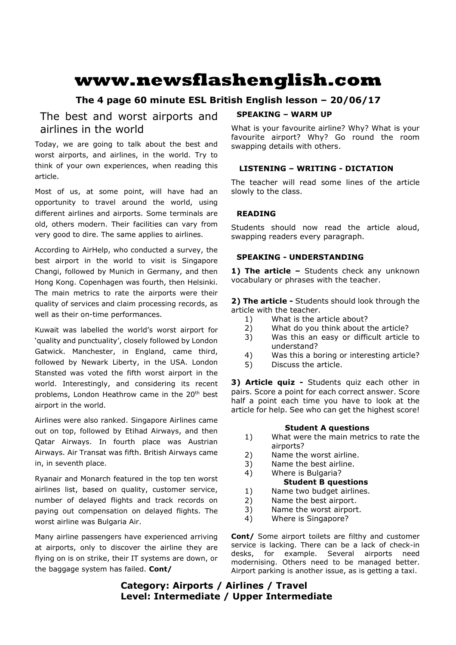# **www.newsflashenglish.com**

# **The 4 page 60 minute ESL British English lesson – 20/06/17**

# The best and worst airports and airlines in the world

Today, we are going to talk about the best and worst airports, and airlines, in the world. Try to think of your own experiences, when reading this article.

Most of us, at some point, will have had an opportunity to travel around the world, using different airlines and airports. Some terminals are old, others modern. Their facilities can vary from very good to dire. The same applies to airlines.

According to AirHelp, who conducted a survey, the best airport in the world to visit is Singapore Changi, followed by Munich in Germany, and then Hong Kong. Copenhagen was fourth, then Helsinki. The main metrics to rate the airports were their quality of services and claim processing records, as well as their on-time performances.

Kuwait was labelled the world's worst airport for 'quality and punctuality', closely followed by London Gatwick. Manchester, in England, came third, followed by Newark Liberty, in the USA. London Stansted was voted the fifth worst airport in the world. Interestingly, and considering its recent problems, London Heathrow came in the 20<sup>th</sup> best airport in the world.

Airlines were also ranked. Singapore Airlines came out on top, followed by Etihad Airways, and then Qatar Airways. In fourth place was Austrian Airways. Air Transat was fifth. British Airways came in, in seventh place.

Ryanair and Monarch featured in the top ten worst airlines list, based on quality, customer service, number of delayed flights and track records on paying out compensation on delayed flights. The worst airline was Bulgaria Air.

Many airline passengers have experienced arriving at airports, only to discover the airline they are flying on is on strike, their IT systems are down, or the baggage system has failed. **Cont/**

### **SPEAKING – WARM UP**

What is your favourite airline? Why? What is your favourite airport? Why? Go round the room swapping details with others.

### **LISTENING – WRITING - DICTATION**

The teacher will read some lines of the article slowly to the class.

### **READING**

Students should now read the article aloud, swapping readers every paragraph.

### **SPEAKING - UNDERSTANDING**

1) The article - Students check any unknown vocabulary or phrases with the teacher.

**2) The article -** Students should look through the article with the teacher.

- 1) What is the article about?
- 2) What do you think about the article?
- 3) Was this an easy or difficult article to understand?
- 4) Was this a boring or interesting article?
- 5) Discuss the article.

**3) Article quiz -** Students quiz each other in pairs. Score a point for each correct answer. Score half a point each time you have to look at the article for help. See who can get the highest score!

### **Student A questions**

- 1) What were the main metrics to rate the airports?
- 2) Name the worst airline.
- 3) Name the best airline.
- 4) Where is Bulgaria? **Student B questions**
- 1) Name two budget airlines.
- 2) Name the best airport.
- 3) Name the worst airport.
- 4) Where is Singapore?

**Cont/** Some airport toilets are filthy and customer service is lacking. There can be a lack of check-in desks, for example. Several airports need modernising. Others need to be managed better. Airport parking is another issue, as is getting a taxi.

## **Category: Airports / Airlines / Travel Level: Intermediate / Upper Intermediate**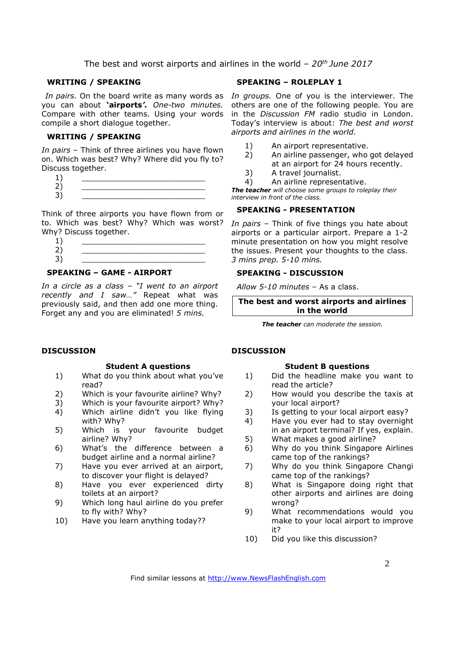The best and worst airports and airlines in the world *– 20th June 2017*

### **WRITING / SPEAKING**

you can about **'airports***'. One-two minutes.*  Compare with other teams. Using your words compile a short dialogue together.

### **WRITING / SPEAKING**

*In pairs* – Think of three airlines you have flown on. Which was best? Why? Where did you fly to? Discuss together.

| - |  |
|---|--|
| ۔ |  |

Think of three airports you have flown from or to. Which was best? Why? Which was worst? Why? Discuss together.

### **SPEAKING – GAME - AIRPORT**

*In a circle as a class – "I went to an airport recently and I saw…"* Repeat what was previously said, and then add one more thing. Forget any and you are eliminated! *5 mins.* 

### **DISCUSSION**

### **Student A questions**

- 1) What do you think about what you've read?
- 2) Which is your favourite airline? Why?
- 3) Which is your favourite airport? Why?
- 4) Which airline didn't you like flying with? Why?
- 5) Which is your favourite budget airline? Why?
- 6) What's the difference between a budget airline and a normal airline?
- 7) Have you ever arrived at an airport, to discover your flight is delayed?
- 8) Have you ever experienced dirty toilets at an airport?
- 9) Which long haul airline do you prefer to fly with? Why?
- 10) Have you learn anything today??

### **SPEAKING – ROLEPLAY 1**

In pairs. On the board write as many words as In groups. One of you is the interviewer. The others are one of the following people. You are in the *Discussion FM* radio studio in London. Today's interview is about: *The best and worst airports and airlines in the world.*

- 1) An airport representative.
- 2) An airline passenger, who got delayed at an airport for 24 hours recently.
- 3) A travel journalist.
- 4) An airline representative.

*The teacher will choose some groups to roleplay their interview in front of the class.* 

### **SPEAKING - PRESENTATION**

*In pairs –* Think of five things you hate about airports or a particular airport. Prepare a 1-2 minute presentation on how you might resolve the issues. Present your thoughts to the class. *3 mins prep. 5-10 mins.* 

### **SPEAKING - DISCUSSION**

*Allow 5-10 minutes* – As a class.

**The best and worst airports and airlines in the world** 

*The teacher can moderate the session.*

### **DISCUSSION**

### **Student B questions**

- 1) Did the headline make you want to read the article?
- 2) How would you describe the taxis at your local airport?
- 3) Is getting to your local airport easy?
- 4) Have you ever had to stay overnight in an airport terminal? If yes, explain.
- 5) What makes a good airline?
- 6) Why do you think Singapore Airlines came top of the rankings?
- 7) Why do you think Singapore Changi came top of the rankings?
- 8) What is Singapore doing right that other airports and airlines are doing wrong?
- 9) What recommendations would you make to your local airport to improve it?
- 10) Did you like this discussion?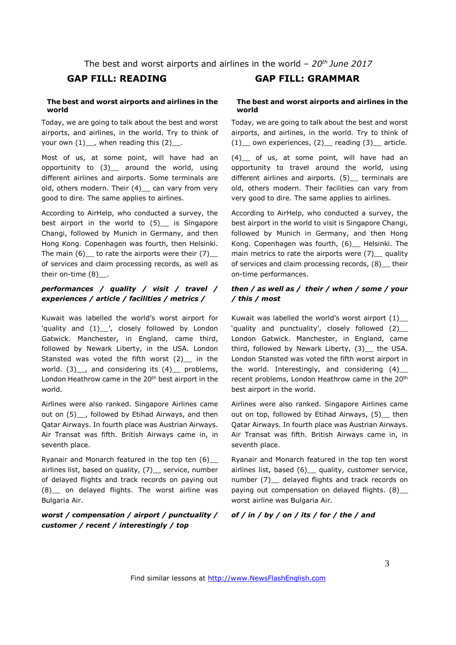The best and worst airports and airlines in the world *– 20th June 2017*

### **The best and worst airports and airlines in the world**

Today, we are going to talk about the best and worst airports, and airlines, in the world. Try to think of your own  $(1)$ , when reading this  $(2)$ .

Most of us, at some point, will have had an opportunity to (3)\_ around the world, using different airlines and airports. Some terminals are old, others modern. Their (4) \_ can vary from very good to dire. The same applies to airlines.

According to AirHelp, who conducted a survey, the best airport in the world to (5) is Singapore Changi, followed by Munich in Germany, and then Hong Kong. Copenhagen was fourth, then Helsinki. The main  $(6)$  to rate the airports were their  $(7)$ of services and claim processing records, as well as their on-time (8) .

### *performances / quality / visit / travel / experiences / article / facilities / metrics /*

Kuwait was labelled the world's worst airport for 'quality and (1)\_\_', closely followed by London Gatwick. Manchester, in England, came third, followed by Newark Liberty, in the USA. London Stansted was voted the fifth worst (2)\_\_ in the world.  $(3)$ , and considering its  $(4)$ , problems, London Heathrow came in the 20<sup>th</sup> best airport in the world.

Airlines were also ranked. Singapore Airlines came out on (5) \_\_, followed by Etihad Airways, and then Qatar Airways. In fourth place was Austrian Airways. Air Transat was fifth. British Airways came in, in seventh place.

Ryanair and Monarch featured in the top ten (6)\_\_ airlines list, based on quality, (7) service, number of delayed flights and track records on paying out (8)\_\_ on delayed flights. The worst airline was Bulgaria Air.

### *worst / compensation / airport / punctuality / customer / recent / interestingly / top*

### **GAP FILL: READING GAP FILL: GRAMMAR**

### **The best and worst airports and airlines in the world**

Today, we are going to talk about the best and worst airports, and airlines, in the world. Try to think of  $(1)$  own experiences,  $(2)$  reading  $(3)$  article.

(4)\_\_ of us, at some point, will have had an opportunity to travel around the world, using different airlines and airports. (5) terminals are old, others modern. Their facilities can vary from very good to dire. The same applies to airlines.

According to AirHelp, who conducted a survey, the best airport in the world to visit is Singapore Changi, followed by Munich in Germany, and then Hong Kong. Copenhagen was fourth, (6) Helsinki. The main metrics to rate the airports were  $(7)$  quality of services and claim processing records, (8) their on-time performances.

### *then / as well as / their / when / some / your / this / most*

Kuwait was labelled the world's worst airport (1)\_\_ 'quality and punctuality', closely followed (2)\_\_ London Gatwick. Manchester, in England, came third, followed by Newark Liberty, (3) the USA. London Stansted was voted the fifth worst airport in the world. Interestingly, and considering (4)\_\_ recent problems, London Heathrow came in the 20th best airport in the world.

Airlines were also ranked. Singapore Airlines came out on top, followed by Etihad Airways, (5) then Qatar Airways. In fourth place was Austrian Airways. Air Transat was fifth. British Airways came in, in seventh place.

Ryanair and Monarch featured in the top ten worst airlines list, based (6)\_\_ quality, customer service, number (7) delayed flights and track records on paying out compensation on delayed flights. (8)\_ worst airline was Bulgaria Air.

### *of / in / by / on / its / for / the / and*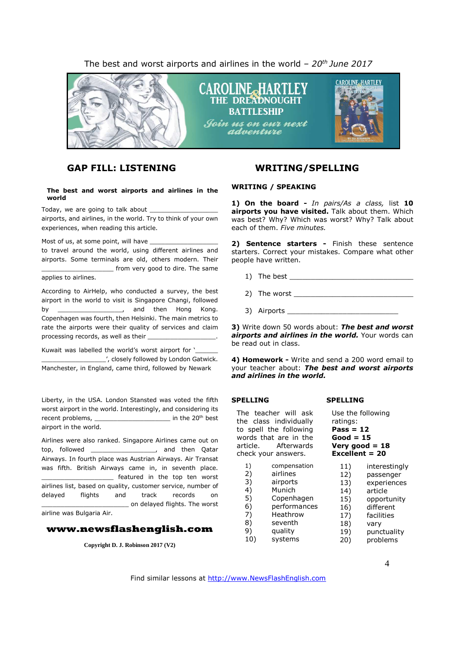The best and worst airports and airlines in the world *– 20 th June 2017*



### **GAP FILL: LISTENING WRITING/SPELLING**

### **The best and worst airports and airlines in the world**

Today, we are going to talk about \_\_\_\_\_\_\_\_\_\_\_\_\_\_\_\_\_\_

airports, and airlines, in the world. Try to think of your own experiences, when reading this article.

Most of us, at some point, will have

to travel around the world, using different airlines and airports. Some terminals are old, others modern. Their from very good to dire. The same

### applies to airlines.

According to AirHelp, who conducted a survey, the best airport in the world to visit is Singapore Changi, followed by the contract of the contract of the Hong Kong. Copenhagen was fourth, then Helsinki. The main metrics to rate the airports were their quality of services and claim processing records, as well as their

Kuwait was labelled the world's worst airport for '\_\_\_\_\_\_\_\_\_\_\_\_\_\_\_\_\_\_\_\_\_\_\_\_\_\_\_\_\_ \_\_\_\_\_\_\_\_\_\_\_\_\_\_\_\_\_', closely followed by London Gatwick.

Manchester, in England, came third, followed by Newark

Liberty, in the USA. London Stansted was voted the fifth worst airport in the world. Interestingly, and considering its recent problems, \_\_\_\_\_\_\_\_\_\_\_\_\_\_\_\_\_\_\_\_\_\_\_ in the 20<sup>th</sup> best airport in the world.

Airlines were also ranked. Singapore Airlines came out on top, followed \_\_\_\_\_\_\_\_\_\_\_\_\_\_\_\_\_, and then Qatar Airways. In fourth place was Austrian Airways. Air Transat was fifth. British Airways came in, in seventh place. featured in the top ten worst airlines list, based on quality, customer service, number of delayed flights and track records on \_\_\_\_\_\_\_\_\_\_\_\_\_\_\_\_\_\_\_\_\_\_\_ on delayed flights. The worst airline was Bulgaria Air.

### **www.newsflashenglish.com**

**Copyright D. J. Robinson 2017 (V2)**

### **WRITING / SPEAKING**

**1) On the board -** *In pairs/As a class,* list **10 airports you have visited.** Talk about them. Which was best? Why? Which was worst? Why? Talk about each of them. *Five minutes.*

**2) Sentence starters -** Finish these sentence starters. Correct your mistakes. Compare what other people have written.

- 1) The best  $\blacksquare$
- 2) The worst
- 3) Airports \_\_\_\_\_\_\_\_

**3)** Write down 50 words about: *The best and worst airports and airlines in the world.* Your words can be read out in class.

**4) Homework -** Write and send a 200 word email to your teacher about: *The best and worst airports and airlines in the world.*

### **SPELLING**

The teacher will ask the class individually to spell the following words that are in the article. Afterwards check your answers. 1) compensation<br>2) airlines 2) airlines 3) airports 4) Munich

- 5) Copenhagen 6) performances<br>7) Heathrow .<br>Heathrow 8) seventh
- 9) quality
- 10) systems

# **SPELLING**

Use the following

ratings: **Pass = 12 Good = 15 Very good = 18 Excellent = 20** 11) interestingly 12) passenger 13) experiences 14) article 15) opportunity 16) different 17) facilities 18) vary<br>19) punc

- punctuality
- 20) problems

Find similar lessons at http://www.NewsFlashEnglish.com